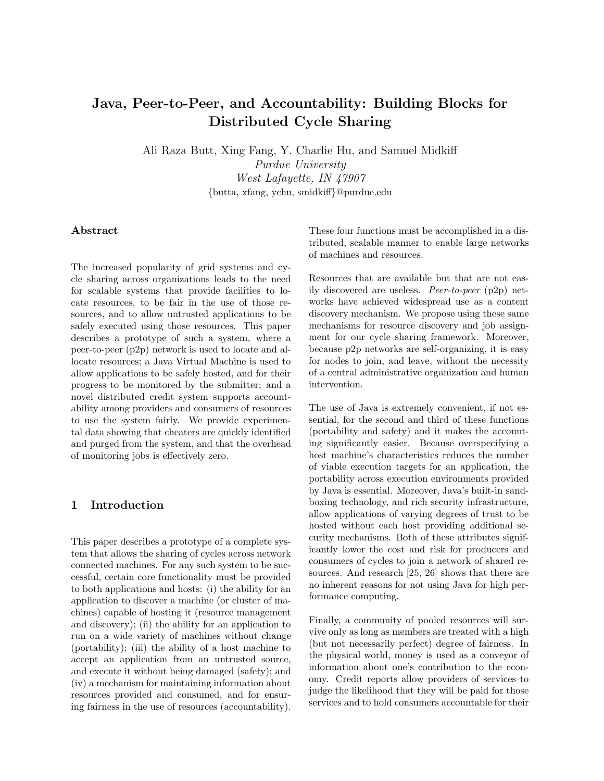# Java, Peer-to-Peer, and Accountability: Building Blocks for Distributed Cycle Sharing

Ali Raza Butt, Xing Fang, Y. Charlie Hu, and Samuel Midkiff Purdue University West Lafayette, IN 47907 {butta, xfang, ychu, smidkiff}@purdue.edu

#### Abstract

The increased popularity of grid systems and cycle sharing across organizations leads to the need for scalable systems that provide facilities to locate resources, to be fair in the use of those resources, and to allow untrusted applications to be safely executed using those resources. This paper describes a prototype of such a system, where a peer-to-peer (p2p) network is used to locate and allocate resources; a Java Virtual Machine is used to allow applications to be safely hosted, and for their progress to be monitored by the submitter; and a novel distributed credit system supports accountability among providers and consumers of resources to use the system fairly. We provide experimental data showing that cheaters are quickly identified and purged from the system, and that the overhead of monitoring jobs is effectively zero.

## 1 Introduction

This paper describes a prototype of a complete system that allows the sharing of cycles across network connected machines. For any such system to be successful, certain core functionality must be provided to both applications and hosts: (i) the ability for an application to discover a machine (or cluster of machines) capable of hosting it (resource management and discovery); (ii) the ability for an application to run on a wide variety of machines without change (portability); (iii) the ability of a host machine to accept an application from an untrusted source, and execute it without being damaged (safety); and (iv) a mechanism for maintaining information about resources provided and consumed, and for ensuring fairness in the use of resources (accountability).

These four functions must be accomplished in a distributed, scalable manner to enable large networks of machines and resources.

Resources that are available but that are not easily discovered are useless. Peer-to-peer (p2p) networks have achieved widespread use as a content discovery mechanism. We propose using these same mechanisms for resource discovery and job assignment for our cycle sharing framework. Moreover, because p2p networks are self-organizing, it is easy for nodes to join, and leave, without the necessity of a central administrative organization and human intervention.

The use of Java is extremely convenient, if not essential, for the second and third of these functions (portability and safety) and it makes the accounting significantly easier. Because overspecifying a host machine's characteristics reduces the number of viable execution targets for an application, the portability across execution environments provided by Java is essential. Moreover, Java's built-in sandboxing technology, and rich security infrastructure, allow applications of varying degrees of trust to be hosted without each host providing additional security mechanisms. Both of these attributes significantly lower the cost and risk for producers and consumers of cycles to join a network of shared resources. And research [25, 26] shows that there are no inherent reasons for not using Java for high performance computing.

Finally, a community of pooled resources will survive only as long as members are treated with a high (but not necessarily perfect) degree of fairness. In the physical world, money is used as a conveyor of information about one's contribution to the economy. Credit reports allow providers of services to judge the likelihood that they will be paid for those services and to hold consumers accountable for their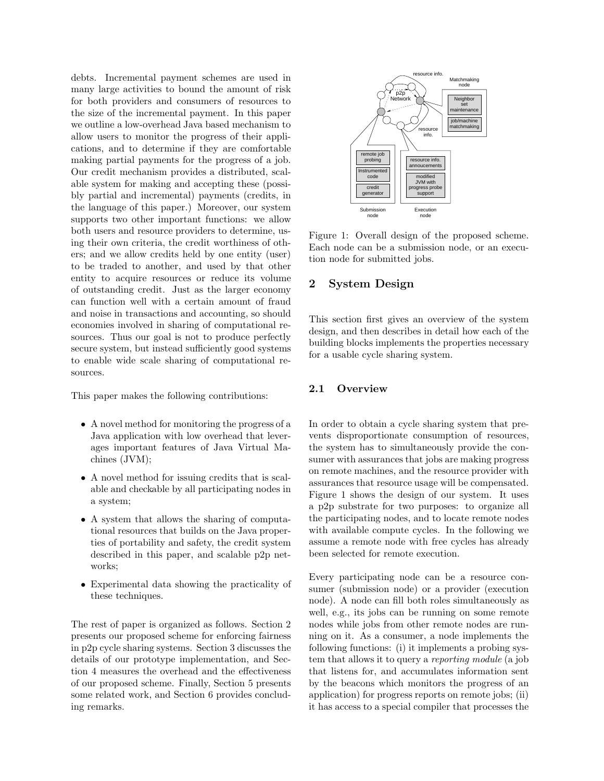debts. Incremental payment schemes are used in many large activities to bound the amount of risk for both providers and consumers of resources to the size of the incremental payment. In this paper we outline a low-overhead Java based mechanism to allow users to monitor the progress of their applications, and to determine if they are comfortable making partial payments for the progress of a job. Our credit mechanism provides a distributed, scalable system for making and accepting these (possibly partial and incremental) payments (credits, in the language of this paper.) Moreover, our system supports two other important functions: we allow both users and resource providers to determine, using their own criteria, the credit worthiness of others; and we allow credits held by one entity (user) to be traded to another, and used by that other entity to acquire resources or reduce its volume of outstanding credit. Just as the larger economy can function well with a certain amount of fraud and noise in transactions and accounting, so should economies involved in sharing of computational resources. Thus our goal is not to produce perfectly secure system, but instead sufficiently good systems to enable wide scale sharing of computational resources.

This paper makes the following contributions:

- A novel method for monitoring the progress of a Java application with low overhead that leverages important features of Java Virtual Machines (JVM);
- A novel method for issuing credits that is scalable and checkable by all participating nodes in a system;
- A system that allows the sharing of computational resources that builds on the Java properties of portability and safety, the credit system described in this paper, and scalable p2p networks;
- Experimental data showing the practicality of these techniques.

The rest of paper is organized as follows. Section 2 presents our proposed scheme for enforcing fairness in p2p cycle sharing systems. Section 3 discusses the details of our prototype implementation, and Section 4 measures the overhead and the effectiveness of our proposed scheme. Finally, Section 5 presents some related work, and Section 6 provides concluding remarks.



Figure 1: Overall design of the proposed scheme. Each node can be a submission node, or an execution node for submitted jobs.

# 2 System Design

This section first gives an overview of the system design, and then describes in detail how each of the building blocks implements the properties necessary for a usable cycle sharing system.

## 2.1 Overview

In order to obtain a cycle sharing system that prevents disproportionate consumption of resources, the system has to simultaneously provide the consumer with assurances that jobs are making progress on remote machines, and the resource provider with assurances that resource usage will be compensated. Figure 1 shows the design of our system. It uses a p2p substrate for two purposes: to organize all the participating nodes, and to locate remote nodes with available compute cycles. In the following we assume a remote node with free cycles has already been selected for remote execution.

Every participating node can be a resource consumer (submission node) or a provider (execution node). A node can fill both roles simultaneously as well, e.g., its jobs can be running on some remote nodes while jobs from other remote nodes are running on it. As a consumer, a node implements the following functions: (i) it implements a probing system that allows it to query a reporting module (a job that listens for, and accumulates information sent by the beacons which monitors the progress of an application) for progress reports on remote jobs; (ii) it has access to a special compiler that processes the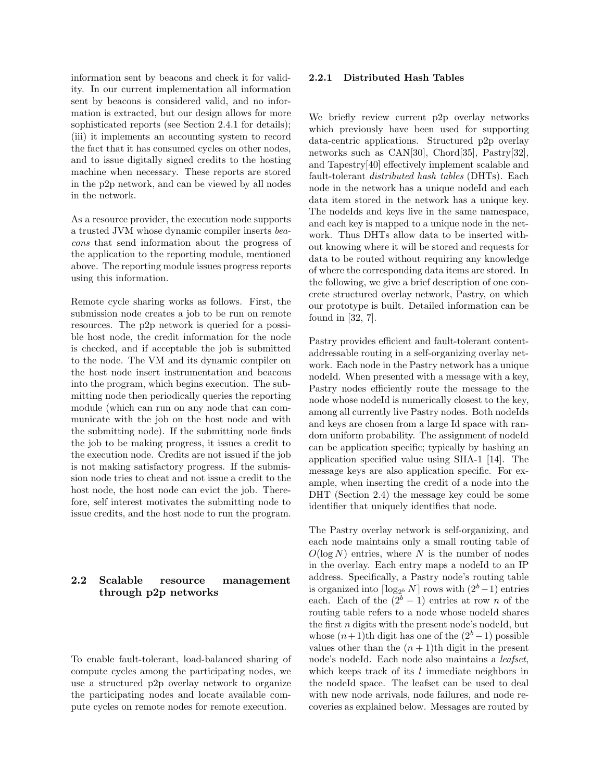information sent by beacons and check it for validity. In our current implementation all information sent by beacons is considered valid, and no information is extracted, but our design allows for more sophisticated reports (see Section 2.4.1 for details); (iii) it implements an accounting system to record the fact that it has consumed cycles on other nodes, and to issue digitally signed credits to the hosting machine when necessary. These reports are stored in the p2p network, and can be viewed by all nodes in the network.

As a resource provider, the execution node supports a trusted JVM whose dynamic compiler inserts beacons that send information about the progress of the application to the reporting module, mentioned above. The reporting module issues progress reports using this information.

Remote cycle sharing works as follows. First, the submission node creates a job to be run on remote resources. The p2p network is queried for a possible host node, the credit information for the node is checked, and if acceptable the job is submitted to the node. The VM and its dynamic compiler on the host node insert instrumentation and beacons into the program, which begins execution. The submitting node then periodically queries the reporting module (which can run on any node that can communicate with the job on the host node and with the submitting node). If the submitting node finds the job to be making progress, it issues a credit to the execution node. Credits are not issued if the job is not making satisfactory progress. If the submission node tries to cheat and not issue a credit to the host node, the host node can evict the job. Therefore, self interest motivates the submitting node to issue credits, and the host node to run the program.

# 2.2 Scalable resource management through p2p networks

To enable fault-tolerant, load-balanced sharing of compute cycles among the participating nodes, we use a structured p2p overlay network to organize the participating nodes and locate available compute cycles on remote nodes for remote execution.

#### 2.2.1 Distributed Hash Tables

We briefly review current p2p overlay networks which previously have been used for supporting data-centric applications. Structured p2p overlay networks such as CAN[30], Chord[35], Pastry[32], and Tapestry[40] effectively implement scalable and fault-tolerant distributed hash tables (DHTs). Each node in the network has a unique nodeId and each data item stored in the network has a unique key. The nodeIds and keys live in the same namespace, and each key is mapped to a unique node in the network. Thus DHTs allow data to be inserted without knowing where it will be stored and requests for data to be routed without requiring any knowledge of where the corresponding data items are stored. In the following, we give a brief description of one concrete structured overlay network, Pastry, on which our prototype is built. Detailed information can be found in [32, 7].

Pastry provides efficient and fault-tolerant contentaddressable routing in a self-organizing overlay network. Each node in the Pastry network has a unique nodeId. When presented with a message with a key, Pastry nodes efficiently route the message to the node whose nodeId is numerically closest to the key, among all currently live Pastry nodes. Both nodeIds and keys are chosen from a large Id space with random uniform probability. The assignment of nodeId can be application specific; typically by hashing an application specified value using SHA-1 [14]. The message keys are also application specific. For example, when inserting the credit of a node into the DHT (Section 2.4) the message key could be some identifier that uniquely identifies that node.

The Pastry overlay network is self-organizing, and each node maintains only a small routing table of  $O(\log N)$  entries, where N is the number of nodes in the overlay. Each entry maps a nodeId to an IP address. Specifically, a Pastry node's routing table is organized into  $\lceil \log_{2^b} N \rceil$  rows with  $(2^b-1)$  entries each. Each of the  $(2<sup>b</sup> - 1)$  entries at row *n* of the routing table refers to a node whose nodeId shares the first  $n$  digits with the present node's nodeId, but whose  $(n+1)$ th digit has one of the  $(2<sup>b</sup> - 1)$  possible values other than the  $(n + 1)$ th digit in the present node's nodeId. Each node also maintains a *leafset*, which keeps track of its  $l$  immediate neighbors in the nodeId space. The leafset can be used to deal with new node arrivals, node failures, and node recoveries as explained below. Messages are routed by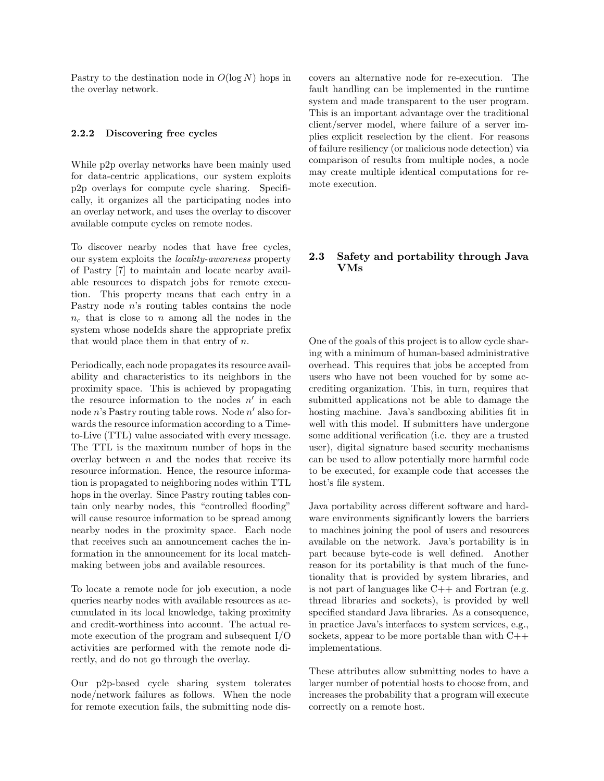Pastry to the destination node in  $O(\log N)$  hops in the overlay network.

#### 2.2.2 Discovering free cycles

While p2p overlay networks have been mainly used for data-centric applications, our system exploits p2p overlays for compute cycle sharing. Specifically, it organizes all the participating nodes into an overlay network, and uses the overlay to discover available compute cycles on remote nodes.

To discover nearby nodes that have free cycles, our system exploits the locality-awareness property of Pastry [7] to maintain and locate nearby available resources to dispatch jobs for remote execution. This property means that each entry in a Pastry node n's routing tables contains the node  $n_c$  that is close to n among all the nodes in the system whose nodeIds share the appropriate prefix that would place them in that entry of  $n$ .

Periodically, each node propagates its resource availability and characteristics to its neighbors in the proximity space. This is achieved by propagating the resource information to the nodes  $n'$  in each node  $n$ 's Pastry routing table rows. Node  $n'$  also forwards the resource information according to a Timeto-Live (TTL) value associated with every message. The TTL is the maximum number of hops in the overlay between  $n$  and the nodes that receive its resource information. Hence, the resource information is propagated to neighboring nodes within TTL hops in the overlay. Since Pastry routing tables contain only nearby nodes, this "controlled flooding" will cause resource information to be spread among nearby nodes in the proximity space. Each node that receives such an announcement caches the information in the announcement for its local matchmaking between jobs and available resources.

To locate a remote node for job execution, a node queries nearby nodes with available resources as accumulated in its local knowledge, taking proximity and credit-worthiness into account. The actual remote execution of the program and subsequent I/O activities are performed with the remote node directly, and do not go through the overlay.

Our p2p-based cycle sharing system tolerates node/network failures as follows. When the node for remote execution fails, the submitting node discovers an alternative node for re-execution. The fault handling can be implemented in the runtime system and made transparent to the user program. This is an important advantage over the traditional client/server model, where failure of a server implies explicit reselection by the client. For reasons of failure resiliency (or malicious node detection) via comparison of results from multiple nodes, a node may create multiple identical computations for remote execution.

#### 2.3 Safety and portability through Java VMs

One of the goals of this project is to allow cycle sharing with a minimum of human-based administrative overhead. This requires that jobs be accepted from users who have not been vouched for by some accrediting organization. This, in turn, requires that submitted applications not be able to damage the hosting machine. Java's sandboxing abilities fit in well with this model. If submitters have undergone some additional verification (i.e. they are a trusted user), digital signature based security mechanisms can be used to allow potentially more harmful code to be executed, for example code that accesses the host's file system.

Java portability across different software and hardware environments significantly lowers the barriers to machines joining the pool of users and resources available on the network. Java's portability is in part because byte-code is well defined. Another reason for its portability is that much of the functionality that is provided by system libraries, and is not part of languages like  $C++$  and Fortran (e.g. thread libraries and sockets), is provided by well specified standard Java libraries. As a consequence, in practice Java's interfaces to system services, e.g., sockets, appear to be more portable than with C++ implementations.

These attributes allow submitting nodes to have a larger number of potential hosts to choose from, and increases the probability that a program will execute correctly on a remote host.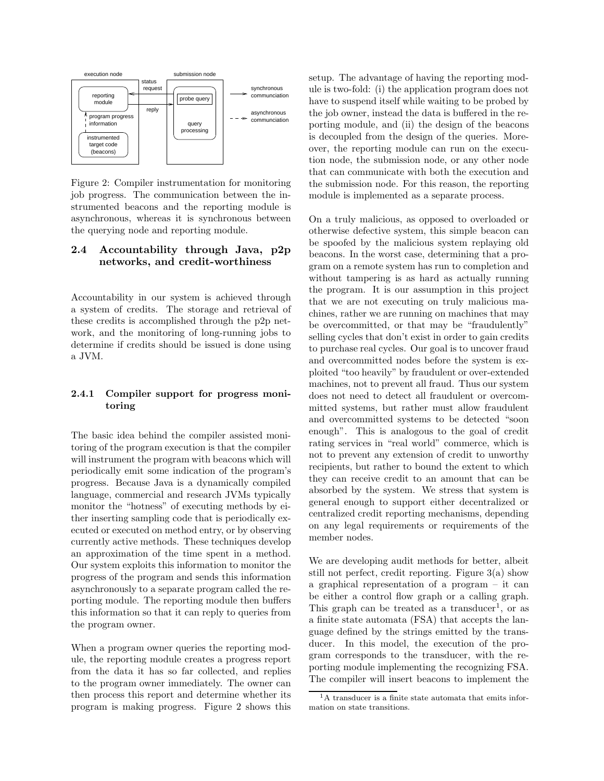

Figure 2: Compiler instrumentation for monitoring job progress. The communication between the instrumented beacons and the reporting module is asynchronous, whereas it is synchronous between the querying node and reporting module.

# 2.4 Accountability through Java, p2p networks, and credit-worthiness

Accountability in our system is achieved through a system of credits. The storage and retrieval of these credits is accomplished through the p2p network, and the monitoring of long-running jobs to determine if credits should be issued is done using a JVM.

# 2.4.1 Compiler support for progress monitoring

The basic idea behind the compiler assisted monitoring of the program execution is that the compiler will instrument the program with beacons which will periodically emit some indication of the program's progress. Because Java is a dynamically compiled language, commercial and research JVMs typically monitor the "hotness" of executing methods by either inserting sampling code that is periodically executed or executed on method entry, or by observing currently active methods. These techniques develop an approximation of the time spent in a method. Our system exploits this information to monitor the progress of the program and sends this information asynchronously to a separate program called the reporting module. The reporting module then buffers this information so that it can reply to queries from the program owner.

When a program owner queries the reporting module, the reporting module creates a progress report from the data it has so far collected, and replies to the program owner immediately. The owner can then process this report and determine whether its program is making progress. Figure 2 shows this setup. The advantage of having the reporting module is two-fold: (i) the application program does not have to suspend itself while waiting to be probed by the job owner, instead the data is buffered in the reporting module, and (ii) the design of the beacons is decoupled from the design of the queries. Moreover, the reporting module can run on the execution node, the submission node, or any other node that can communicate with both the execution and the submission node. For this reason, the reporting module is implemented as a separate process.

On a truly malicious, as opposed to overloaded or otherwise defective system, this simple beacon can be spoofed by the malicious system replaying old beacons. In the worst case, determining that a program on a remote system has run to completion and without tampering is as hard as actually running the program. It is our assumption in this project that we are not executing on truly malicious machines, rather we are running on machines that may be overcommitted, or that may be "fraudulently" selling cycles that don't exist in order to gain credits to purchase real cycles. Our goal is to uncover fraud and overcommitted nodes before the system is exploited "too heavily" by fraudulent or over-extended machines, not to prevent all fraud. Thus our system does not need to detect all fraudulent or overcommitted systems, but rather must allow fraudulent and overcommitted systems to be detected "soon enough". This is analogous to the goal of credit rating services in "real world" commerce, which is not to prevent any extension of credit to unworthy recipients, but rather to bound the extent to which they can receive credit to an amount that can be absorbed by the system. We stress that system is general enough to support either decentralized or centralized credit reporting mechanisms, depending on any legal requirements or requirements of the member nodes.

We are developing audit methods for better, albeit still not perfect, credit reporting. Figure 3(a) show a graphical representation of a program – it can be either a control flow graph or a calling graph. This graph can be treated as a transducer<sup>1</sup>, or as a finite state automata (FSA) that accepts the language defined by the strings emitted by the transducer. In this model, the execution of the program corresponds to the transducer, with the reporting module implementing the recognizing FSA. The compiler will insert beacons to implement the

<sup>&</sup>lt;sup>1</sup>A transducer is a finite state automata that emits information on state transitions.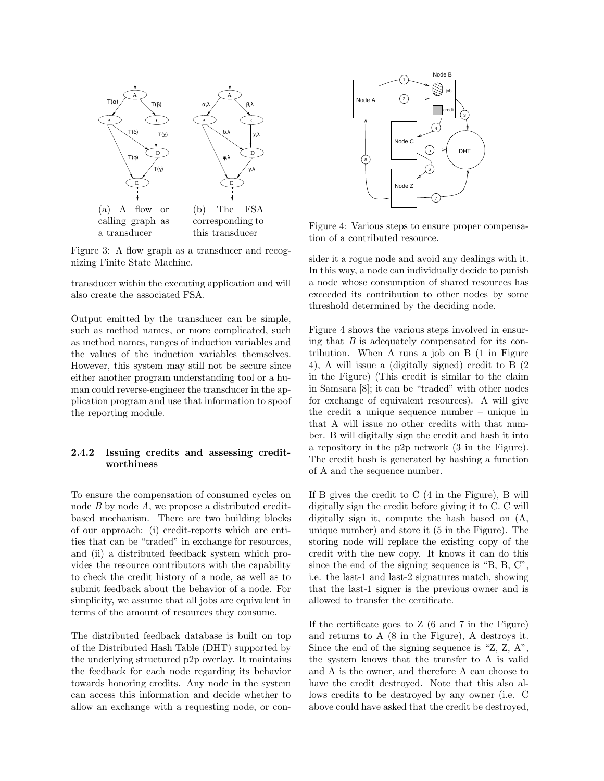

Figure 3: A flow graph as a transducer and recognizing Finite State Machine.

transducer within the executing application and will also create the associated FSA.

Output emitted by the transducer can be simple, such as method names, or more complicated, such as method names, ranges of induction variables and the values of the induction variables themselves. However, this system may still not be secure since either another program understanding tool or a human could reverse-engineer the transducer in the application program and use that information to spoof the reporting module.

#### 2.4.2 Issuing credits and assessing creditworthiness

To ensure the compensation of consumed cycles on node  $B$  by node  $A$ , we propose a distributed creditbased mechanism. There are two building blocks of our approach: (i) credit-reports which are entities that can be "traded" in exchange for resources, and (ii) a distributed feedback system which provides the resource contributors with the capability to check the credit history of a node, as well as to submit feedback about the behavior of a node. For simplicity, we assume that all jobs are equivalent in terms of the amount of resources they consume.

The distributed feedback database is built on top of the Distributed Hash Table (DHT) supported by the underlying structured p2p overlay. It maintains the feedback for each node regarding its behavior towards honoring credits. Any node in the system can access this information and decide whether to allow an exchange with a requesting node, or con-



Figure 4: Various steps to ensure proper compensation of a contributed resource.

sider it a rogue node and avoid any dealings with it. In this way, a node can individually decide to punish a node whose consumption of shared resources has exceeded its contribution to other nodes by some threshold determined by the deciding node.

Figure 4 shows the various steps involved in ensuring that  $B$  is adequately compensated for its contribution. When A runs a job on B (1 in Figure 4), A will issue a (digitally signed) credit to B (2 in the Figure) (This credit is similar to the claim in Samsara [8]; it can be "traded" with other nodes for exchange of equivalent resources). A will give the credit a unique sequence number – unique in that A will issue no other credits with that number. B will digitally sign the credit and hash it into a repository in the p2p network (3 in the Figure). The credit hash is generated by hashing a function of A and the sequence number.

If B gives the credit to C (4 in the Figure), B will digitally sign the credit before giving it to C. C will digitally sign it, compute the hash based on (A, unique number) and store it (5 in the Figure). The storing node will replace the existing copy of the credit with the new copy. It knows it can do this since the end of the signing sequence is "B, B, C", i.e. the last-1 and last-2 signatures match, showing that the last-1 signer is the previous owner and is allowed to transfer the certificate.

If the certificate goes to Z (6 and 7 in the Figure) and returns to A (8 in the Figure), A destroys it. Since the end of the signing sequence is "Z, Z, A", the system knows that the transfer to A is valid and A is the owner, and therefore A can choose to have the credit destroyed. Note that this also allows credits to be destroyed by any owner (i.e. C above could have asked that the credit be destroyed,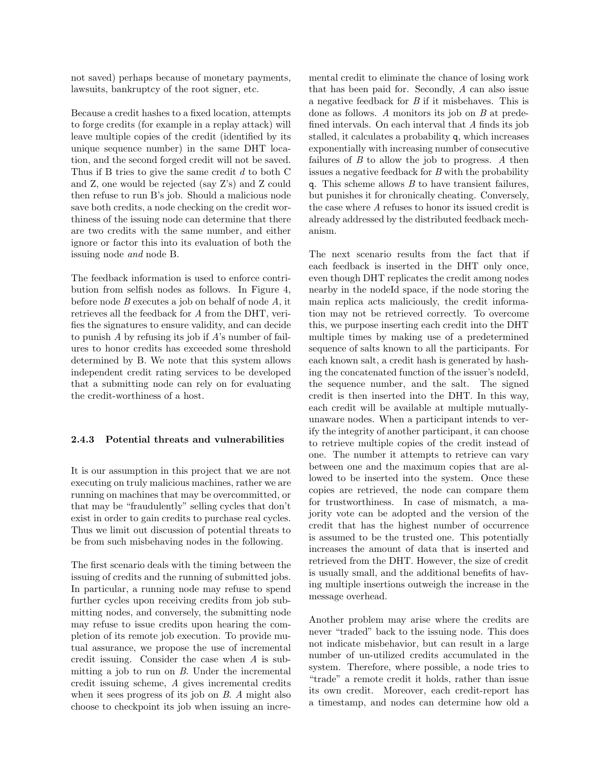not saved) perhaps because of monetary payments, lawsuits, bankruptcy of the root signer, etc.

Because a credit hashes to a fixed location, attempts to forge credits (for example in a replay attack) will leave multiple copies of the credit (identified by its unique sequence number) in the same DHT location, and the second forged credit will not be saved. Thus if B tries to give the same credit d to both C and Z, one would be rejected (say Z's) and Z could then refuse to run B's job. Should a malicious node save both credits, a node checking on the credit worthiness of the issuing node can determine that there are two credits with the same number, and either ignore or factor this into its evaluation of both the issuing node and node B.

The feedback information is used to enforce contribution from selfish nodes as follows. In Figure 4, before node B executes a job on behalf of node A, it retrieves all the feedback for A from the DHT, verifies the signatures to ensure validity, and can decide to punish A by refusing its job if A's number of failures to honor credits has exceeded some threshold determined by B. We note that this system allows independent credit rating services to be developed that a submitting node can rely on for evaluating the credit-worthiness of a host.

#### 2.4.3 Potential threats and vulnerabilities

It is our assumption in this project that we are not executing on truly malicious machines, rather we are running on machines that may be overcommitted, or that may be "fraudulently" selling cycles that don't exist in order to gain credits to purchase real cycles. Thus we limit out discussion of potential threats to be from such misbehaving nodes in the following.

The first scenario deals with the timing between the issuing of credits and the running of submitted jobs. In particular, a running node may refuse to spend further cycles upon receiving credits from job submitting nodes, and conversely, the submitting node may refuse to issue credits upon hearing the completion of its remote job execution. To provide mutual assurance, we propose the use of incremental credit issuing. Consider the case when A is submitting a job to run on B. Under the incremental credit issuing scheme, A gives incremental credits when it sees progress of its job on B. A might also choose to checkpoint its job when issuing an incremental credit to eliminate the chance of losing work that has been paid for. Secondly, A can also issue a negative feedback for B if it misbehaves. This is done as follows. A monitors its job on B at predefined intervals. On each interval that A finds its job stalled, it calculates a probability q, which increases exponentially with increasing number of consecutive failures of  $B$  to allow the job to progress.  $A$  then issues a negative feedback for  $B$  with the probability q. This scheme allows  $B$  to have transient failures, but punishes it for chronically cheating. Conversely, the case where A refuses to honor its issued credit is already addressed by the distributed feedback mechanism.

The next scenario results from the fact that if each feedback is inserted in the DHT only once, even though DHT replicates the credit among nodes nearby in the nodeId space, if the node storing the main replica acts maliciously, the credit information may not be retrieved correctly. To overcome this, we purpose inserting each credit into the DHT multiple times by making use of a predetermined sequence of salts known to all the participants. For each known salt, a credit hash is generated by hashing the concatenated function of the issuer's nodeId, the sequence number, and the salt. The signed credit is then inserted into the DHT. In this way, each credit will be available at multiple mutuallyunaware nodes. When a participant intends to verify the integrity of another participant, it can choose to retrieve multiple copies of the credit instead of one. The number it attempts to retrieve can vary between one and the maximum copies that are allowed to be inserted into the system. Once these copies are retrieved, the node can compare them for trustworthiness. In case of mismatch, a majority vote can be adopted and the version of the credit that has the highest number of occurrence is assumed to be the trusted one. This potentially increases the amount of data that is inserted and retrieved from the DHT. However, the size of credit is usually small, and the additional benefits of having multiple insertions outweigh the increase in the message overhead.

Another problem may arise where the credits are never "traded" back to the issuing node. This does not indicate misbehavior, but can result in a large number of un-utilized credits accumulated in the system. Therefore, where possible, a node tries to "trade" a remote credit it holds, rather than issue its own credit. Moreover, each credit-report has a timestamp, and nodes can determine how old a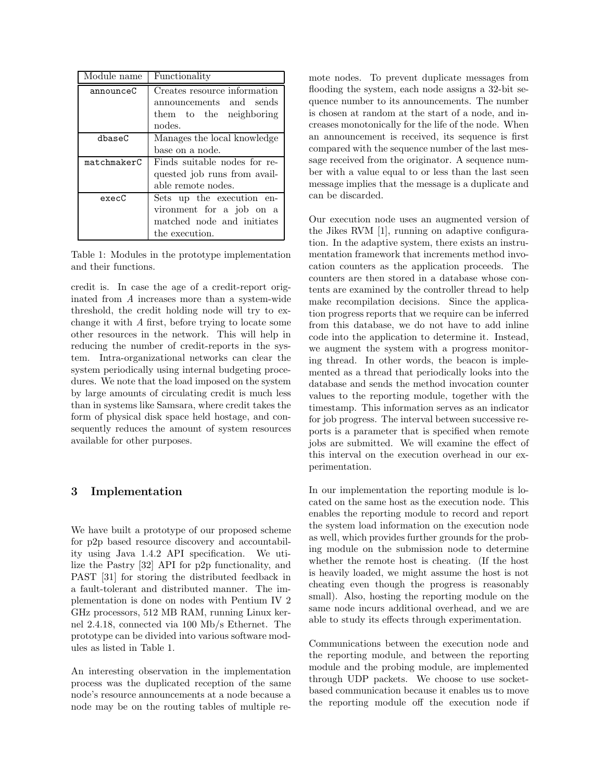| Module name | Functionality                                                                                         |
|-------------|-------------------------------------------------------------------------------------------------------|
| announceC   | Creates resource information<br>announcements and sends<br>them to the neighboring<br>nodes.          |
| dbaseC      | Manages the local knowledge<br>base on a node.                                                        |
| matchmakerC | Finds suitable nodes for re-<br>quested job runs from avail-<br>able remote nodes.                    |
| execC       | Sets up the execution en-<br>vironment for a job on a<br>matched node and initiates<br>the execution. |

Table 1: Modules in the prototype implementation and their functions.

credit is. In case the age of a credit-report originated from A increases more than a system-wide threshold, the credit holding node will try to exchange it with A first, before trying to locate some other resources in the network. This will help in reducing the number of credit-reports in the system. Intra-organizational networks can clear the system periodically using internal budgeting procedures. We note that the load imposed on the system by large amounts of circulating credit is much less than in systems like Samsara, where credit takes the form of physical disk space held hostage, and consequently reduces the amount of system resources available for other purposes.

## 3 Implementation

We have built a prototype of our proposed scheme for p2p based resource discovery and accountability using Java 1.4.2 API specification. We utilize the Pastry [32] API for p2p functionality, and PAST [31] for storing the distributed feedback in a fault-tolerant and distributed manner. The implementation is done on nodes with Pentium IV 2 GHz processors, 512 MB RAM, running Linux kernel 2.4.18, connected via 100 Mb/s Ethernet. The prototype can be divided into various software modules as listed in Table 1.

An interesting observation in the implementation process was the duplicated reception of the same node's resource announcements at a node because a node may be on the routing tables of multiple remote nodes. To prevent duplicate messages from flooding the system, each node assigns a 32-bit sequence number to its announcements. The number is chosen at random at the start of a node, and increases monotonically for the life of the node. When an announcement is received, its sequence is first compared with the sequence number of the last message received from the originator. A sequence number with a value equal to or less than the last seen message implies that the message is a duplicate and can be discarded.

Our execution node uses an augmented version of the Jikes RVM [1], running on adaptive configuration. In the adaptive system, there exists an instrumentation framework that increments method invocation counters as the application proceeds. The counters are then stored in a database whose contents are examined by the controller thread to help make recompilation decisions. Since the application progress reports that we require can be inferred from this database, we do not have to add inline code into the application to determine it. Instead, we augment the system with a progress monitoring thread. In other words, the beacon is implemented as a thread that periodically looks into the database and sends the method invocation counter values to the reporting module, together with the timestamp. This information serves as an indicator for job progress. The interval between successive reports is a parameter that is specified when remote jobs are submitted. We will examine the effect of this interval on the execution overhead in our experimentation.

In our implementation the reporting module is located on the same host as the execution node. This enables the reporting module to record and report the system load information on the execution node as well, which provides further grounds for the probing module on the submission node to determine whether the remote host is cheating. (If the host is heavily loaded, we might assume the host is not cheating even though the progress is reasonably small). Also, hosting the reporting module on the same node incurs additional overhead, and we are able to study its effects through experimentation.

Communications between the execution node and the reporting module, and between the reporting module and the probing module, are implemented through UDP packets. We choose to use socketbased communication because it enables us to move the reporting module off the execution node if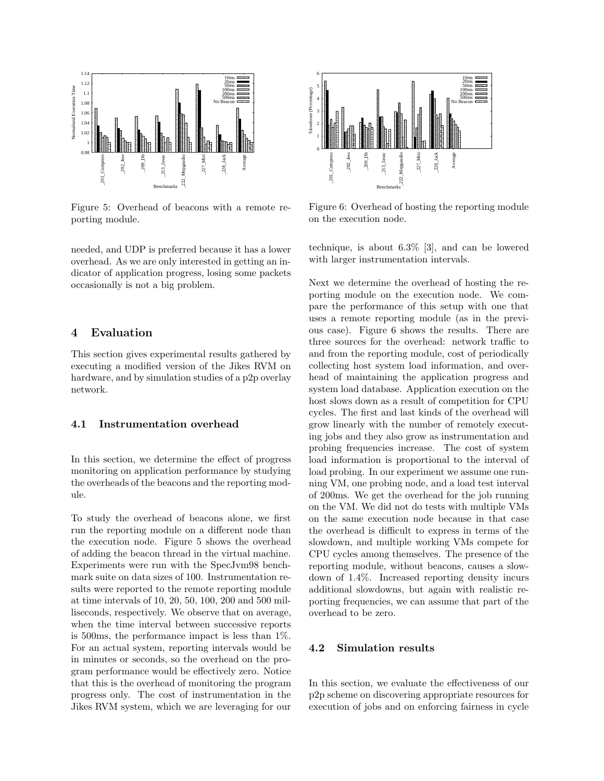

Figure 5: Overhead of beacons with a remote reporting module.

needed, and UDP is preferred because it has a lower overhead. As we are only interested in getting an indicator of application progress, losing some packets occasionally is not a big problem.

## 4 Evaluation

This section gives experimental results gathered by executing a modified version of the Jikes RVM on hardware, and by simulation studies of a p2p overlay network.

#### 4.1 Instrumentation overhead

In this section, we determine the effect of progress monitoring on application performance by studying the overheads of the beacons and the reporting module.

To study the overhead of beacons alone, we first run the reporting module on a different node than the execution node. Figure 5 shows the overhead of adding the beacon thread in the virtual machine. Experiments were run with the SpecJvm98 benchmark suite on data sizes of 100. Instrumentation results were reported to the remote reporting module at time intervals of 10, 20, 50, 100, 200 and 500 milliseconds, respectively. We observe that on average, when the time interval between successive reports is 500ms, the performance impact is less than 1%. For an actual system, reporting intervals would be in minutes or seconds, so the overhead on the program performance would be effectively zero. Notice that this is the overhead of monitoring the program progress only. The cost of instrumentation in the Jikes RVM system, which we are leveraging for our



Figure 6: Overhead of hosting the reporting module on the execution node.

technique, is about 6.3% [3], and can be lowered with larger instrumentation intervals.

Next we determine the overhead of hosting the reporting module on the execution node. We compare the performance of this setup with one that uses a remote reporting module (as in the previous case). Figure 6 shows the results. There are three sources for the overhead: network traffic to and from the reporting module, cost of periodically collecting host system load information, and overhead of maintaining the application progress and system load database. Application execution on the host slows down as a result of competition for CPU cycles. The first and last kinds of the overhead will grow linearly with the number of remotely executing jobs and they also grow as instrumentation and probing frequencies increase. The cost of system load information is proportional to the interval of load probing. In our experiment we assume one running VM, one probing node, and a load test interval of 200ms. We get the overhead for the job running on the VM. We did not do tests with multiple VMs on the same execution node because in that case the overhead is difficult to express in terms of the slowdown, and multiple working VMs compete for CPU cycles among themselves. The presence of the reporting module, without beacons, causes a slowdown of 1.4%. Increased reporting density incurs additional slowdowns, but again with realistic reporting frequencies, we can assume that part of the overhead to be zero.

#### 4.2 Simulation results

In this section, we evaluate the effectiveness of our p2p scheme on discovering appropriate resources for execution of jobs and on enforcing fairness in cycle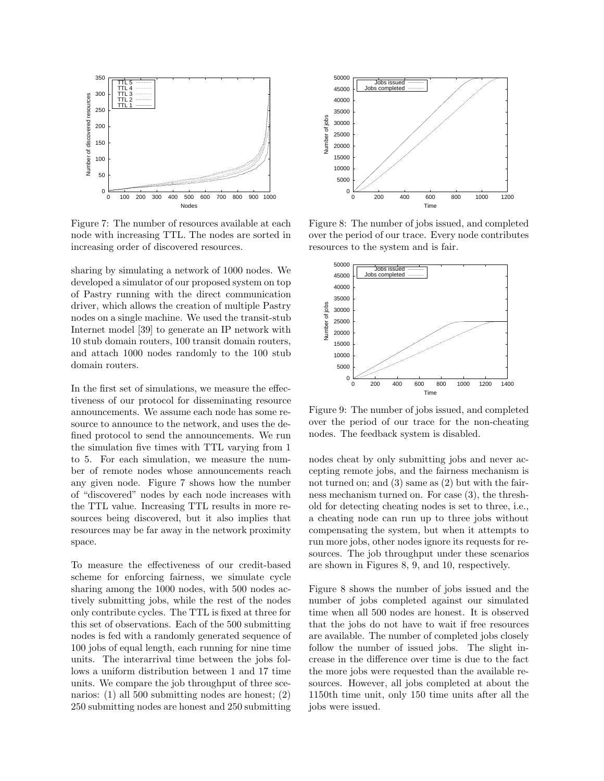

Figure 7: The number of resources available at each node with increasing TTL. The nodes are sorted in increasing order of discovered resources.

sharing by simulating a network of 1000 nodes. We developed a simulator of our proposed system on top of Pastry running with the direct communication driver, which allows the creation of multiple Pastry nodes on a single machine. We used the transit-stub Internet model [39] to generate an IP network with 10 stub domain routers, 100 transit domain routers, and attach 1000 nodes randomly to the 100 stub domain routers.

In the first set of simulations, we measure the effectiveness of our protocol for disseminating resource announcements. We assume each node has some resource to announce to the network, and uses the defined protocol to send the announcements. We run the simulation five times with TTL varying from 1 to 5. For each simulation, we measure the number of remote nodes whose announcements reach any given node. Figure 7 shows how the number of "discovered" nodes by each node increases with the TTL value. Increasing TTL results in more resources being discovered, but it also implies that resources may be far away in the network proximity space.

To measure the effectiveness of our credit-based scheme for enforcing fairness, we simulate cycle sharing among the 1000 nodes, with 500 nodes actively submitting jobs, while the rest of the nodes only contribute cycles. The TTL is fixed at three for this set of observations. Each of the 500 submitting nodes is fed with a randomly generated sequence of 100 jobs of equal length, each running for nine time units. The interarrival time between the jobs follows a uniform distribution between 1 and 17 time units. We compare the job throughput of three scenarios: (1) all 500 submitting nodes are honest; (2) 250 submitting nodes are honest and 250 submitting



Figure 8: The number of jobs issued, and completed over the period of our trace. Every node contributes resources to the system and is fair.



Figure 9: The number of jobs issued, and completed over the period of our trace for the non-cheating nodes. The feedback system is disabled.

nodes cheat by only submitting jobs and never accepting remote jobs, and the fairness mechanism is not turned on; and (3) same as (2) but with the fairness mechanism turned on. For case (3), the threshold for detecting cheating nodes is set to three, i.e., a cheating node can run up to three jobs without compensating the system, but when it attempts to run more jobs, other nodes ignore its requests for resources. The job throughput under these scenarios are shown in Figures 8, 9, and 10, respectively.

Figure 8 shows the number of jobs issued and the number of jobs completed against our simulated time when all 500 nodes are honest. It is observed that the jobs do not have to wait if free resources are available. The number of completed jobs closely follow the number of issued jobs. The slight increase in the difference over time is due to the fact the more jobs were requested than the available resources. However, all jobs completed at about the 1150th time unit, only 150 time units after all the jobs were issued.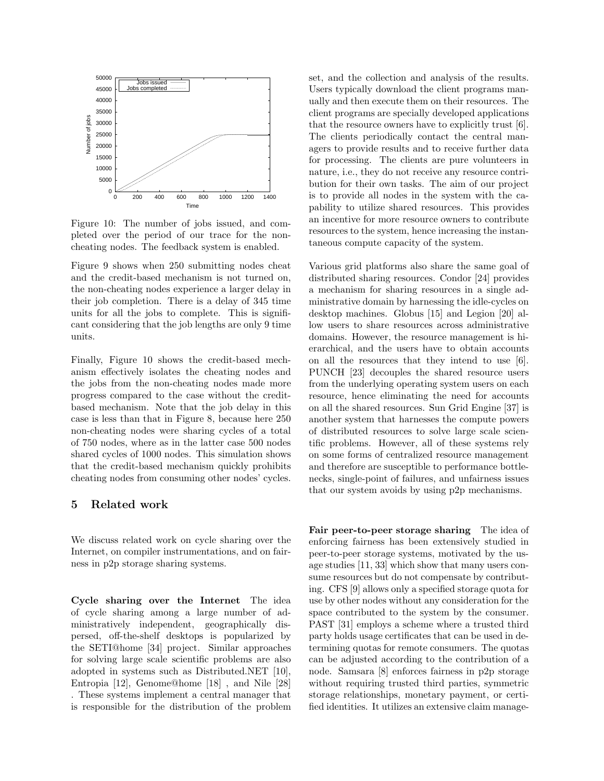

Figure 10: The number of jobs issued, and completed over the period of our trace for the noncheating nodes. The feedback system is enabled.

Figure 9 shows when 250 submitting nodes cheat and the credit-based mechanism is not turned on, the non-cheating nodes experience a larger delay in their job completion. There is a delay of 345 time units for all the jobs to complete. This is significant considering that the job lengths are only 9 time units.

Finally, Figure 10 shows the credit-based mechanism effectively isolates the cheating nodes and the jobs from the non-cheating nodes made more progress compared to the case without the creditbased mechanism. Note that the job delay in this case is less than that in Figure 8, because here 250 non-cheating nodes were sharing cycles of a total of 750 nodes, where as in the latter case 500 nodes shared cycles of 1000 nodes. This simulation shows that the credit-based mechanism quickly prohibits cheating nodes from consuming other nodes' cycles.

## 5 Related work

We discuss related work on cycle sharing over the Internet, on compiler instrumentations, and on fairness in p2p storage sharing systems.

Cycle sharing over the Internet The idea of cycle sharing among a large number of administratively independent, geographically dispersed, off-the-shelf desktops is popularized by the SETI@home [34] project. Similar approaches for solving large scale scientific problems are also adopted in systems such as Distributed.NET [10], Entropia [12], Genome@home [18] , and Nile [28] . These systems implement a central manager that is responsible for the distribution of the problem set, and the collection and analysis of the results. Users typically download the client programs manually and then execute them on their resources. The client programs are specially developed applications that the resource owners have to explicitly trust [6]. The clients periodically contact the central managers to provide results and to receive further data for processing. The clients are pure volunteers in nature, i.e., they do not receive any resource contribution for their own tasks. The aim of our project is to provide all nodes in the system with the capability to utilize shared resources. This provides an incentive for more resource owners to contribute resources to the system, hence increasing the instantaneous compute capacity of the system.

Various grid platforms also share the same goal of distributed sharing resources. Condor [24] provides a mechanism for sharing resources in a single administrative domain by harnessing the idle-cycles on desktop machines. Globus [15] and Legion [20] allow users to share resources across administrative domains. However, the resource management is hierarchical, and the users have to obtain accounts on all the resources that they intend to use [6]. PUNCH [23] decouples the shared resource users from the underlying operating system users on each resource, hence eliminating the need for accounts on all the shared resources. Sun Grid Engine [37] is another system that harnesses the compute powers of distributed resources to solve large scale scientific problems. However, all of these systems rely on some forms of centralized resource management and therefore are susceptible to performance bottlenecks, single-point of failures, and unfairness issues that our system avoids by using p2p mechanisms.

Fair peer-to-peer storage sharing The idea of enforcing fairness has been extensively studied in peer-to-peer storage systems, motivated by the usage studies [11, 33] which show that many users consume resources but do not compensate by contributing. CFS [9] allows only a specified storage quota for use by other nodes without any consideration for the space contributed to the system by the consumer. PAST [31] employs a scheme where a trusted third party holds usage certificates that can be used in determining quotas for remote consumers. The quotas can be adjusted according to the contribution of a node. Samsara [8] enforces fairness in p2p storage without requiring trusted third parties, symmetric storage relationships, monetary payment, or certified identities. It utilizes an extensive claim manage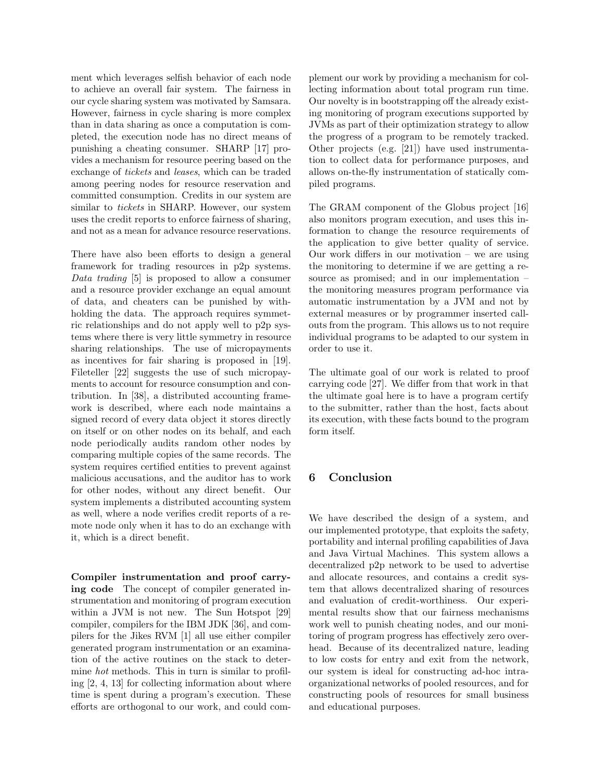ment which leverages selfish behavior of each node to achieve an overall fair system. The fairness in our cycle sharing system was motivated by Samsara. However, fairness in cycle sharing is more complex than in data sharing as once a computation is completed, the execution node has no direct means of punishing a cheating consumer. SHARP [17] provides a mechanism for resource peering based on the exchange of tickets and leases, which can be traded among peering nodes for resource reservation and committed consumption. Credits in our system are similar to *tickets* in SHARP. However, our system uses the credit reports to enforce fairness of sharing, and not as a mean for advance resource reservations.

There have also been efforts to design a general framework for trading resources in p2p systems. Data trading [5] is proposed to allow a consumer and a resource provider exchange an equal amount of data, and cheaters can be punished by withholding the data. The approach requires symmetric relationships and do not apply well to p2p systems where there is very little symmetry in resource sharing relationships. The use of micropayments as incentives for fair sharing is proposed in [19]. Fileteller [22] suggests the use of such micropayments to account for resource consumption and contribution. In [38], a distributed accounting framework is described, where each node maintains a signed record of every data object it stores directly on itself or on other nodes on its behalf, and each node periodically audits random other nodes by comparing multiple copies of the same records. The system requires certified entities to prevent against malicious accusations, and the auditor has to work for other nodes, without any direct benefit. Our system implements a distributed accounting system as well, where a node verifies credit reports of a remote node only when it has to do an exchange with it, which is a direct benefit.

Compiler instrumentation and proof carrying code The concept of compiler generated instrumentation and monitoring of program execution within a JVM is not new. The Sun Hotspot [29] compiler, compilers for the IBM JDK [36], and compilers for the Jikes RVM [1] all use either compiler generated program instrumentation or an examination of the active routines on the stack to determine hot methods. This in turn is similar to profiling [2, 4, 13] for collecting information about where time is spent during a program's execution. These efforts are orthogonal to our work, and could complement our work by providing a mechanism for collecting information about total program run time. Our novelty is in bootstrapping off the already existing monitoring of program executions supported by JVMs as part of their optimization strategy to allow the progress of a program to be remotely tracked. Other projects (e.g. [21]) have used instrumentation to collect data for performance purposes, and allows on-the-fly instrumentation of statically compiled programs.

The GRAM component of the Globus project [16] also monitors program execution, and uses this information to change the resource requirements of the application to give better quality of service. Our work differs in our motivation  $-$  we are using the monitoring to determine if we are getting a resource as promised; and in our implementation – the monitoring measures program performance via automatic instrumentation by a JVM and not by external measures or by programmer inserted callouts from the program. This allows us to not require individual programs to be adapted to our system in order to use it.

The ultimate goal of our work is related to proof carrying code [27]. We differ from that work in that the ultimate goal here is to have a program certify to the submitter, rather than the host, facts about its execution, with these facts bound to the program form itself.

# 6 Conclusion

We have described the design of a system, and our implemented prototype, that exploits the safety, portability and internal profiling capabilities of Java and Java Virtual Machines. This system allows a decentralized p2p network to be used to advertise and allocate resources, and contains a credit system that allows decentralized sharing of resources and evaluation of credit-worthiness. Our experimental results show that our fairness mechanisms work well to punish cheating nodes, and our monitoring of program progress has effectively zero overhead. Because of its decentralized nature, leading to low costs for entry and exit from the network, our system is ideal for constructing ad-hoc intraorganizational networks of pooled resources, and for constructing pools of resources for small business and educational purposes.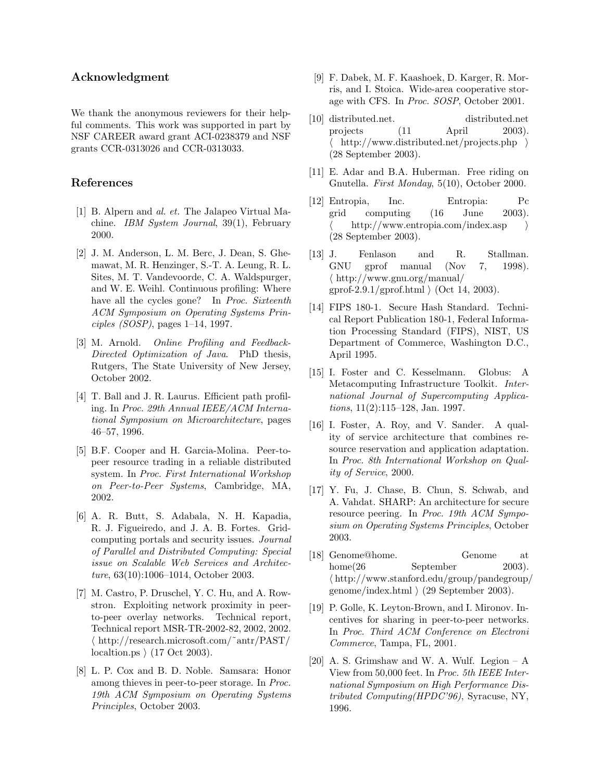## Acknowledgment

We thank the anonymous reviewers for their helpful comments. This work was supported in part by NSF CAREER award grant ACI-0238379 and NSF grants CCR-0313026 and CCR-0313033.

## References

- [1] B. Alpern and al. et. The Jalapeo Virtual Machine. IBM System Journal, 39(1), February 2000.
- [2] J. M. Anderson, L. M. Berc, J. Dean, S. Ghemawat, M. R. Henzinger, S.-T. A. Leung, R. L. Sites, M. T. Vandevoorde, C. A. Waldspurger, and W. E. Weihl. Continuous profiling: Where have all the cycles gone? In *Proc. Sixteenth* ACM Symposium on Operating Systems Principles (SOSP), pages 1–14, 1997.
- [3] M. Arnold. Online Profiling and Feedback-Directed Optimization of Java. PhD thesis, Rutgers, The State University of New Jersey, October 2002.
- [4] T. Ball and J. R. Laurus. Efficient path profiling. In Proc. 29th Annual IEEE/ACM International Symposium on Microarchitecture, pages 46–57, 1996.
- [5] B.F. Cooper and H. Garcia-Molina. Peer-topeer resource trading in a reliable distributed system. In Proc. First International Workshop on Peer-to-Peer Systems, Cambridge, MA, 2002.
- [6] A. R. Butt, S. Adabala, N. H. Kapadia, R. J. Figueiredo, and J. A. B. Fortes. Gridcomputing portals and security issues. Journal of Parallel and Distributed Computing: Special issue on Scalable Web Services and Architecture, 63(10):1006–1014, October 2003.
- [7] M. Castro, P. Druschel, Y. C. Hu, and A. Rowstron. Exploiting network proximity in peerto-peer overlay networks. Technical report, Technical report MSR-TR-2002-82, 2002, 2002.  $\langle \hbox{ http://research.microsoft.com/~antr/PAST/}$ localtion.ps  $(17 \text{ Oct } 2003)$ .
- [8] L. P. Cox and B. D. Noble. Samsara: Honor among thieves in peer-to-peer storage. In Proc. 19th ACM Symposium on Operating Systems Principles, October 2003.
- [9] F. Dabek, M. F. Kaashoek, D. Karger, R. Morris, and I. Stoica. Wide-area cooperative storage with CFS. In Proc. SOSP, October 2001.
- [10] distributed.net. distributed.net projects (11 April 2003). http://www.distributed.net/projects.php  $\rangle$ (28 September 2003).
- [11] E. Adar and B.A. Huberman. Free riding on Gnutella. First Monday, 5(10), October 2000.
- [12] Entropia, Inc. Entropia: Pc grid computing (16 June 2003). http://www.entropia.com/index.asp  $\rangle$ (28 September 2003).
- [13] J. Fenlason and R. Stallman. GNU gprof manual (Nov 7, 1998).  $\langle$  http://www.gnu.org/manual/ gprof-2.9.1/gprof.html  $\rangle$  (Oct 14, 2003).
- [14] FIPS 180-1. Secure Hash Standard. Technical Report Publication 180-1, Federal Information Processing Standard (FIPS), NIST, US Department of Commerce, Washington D.C., April 1995.
- [15] I. Foster and C. Kesselmann. Globus: A Metacomputing Infrastructure Toolkit. International Journal of Supercomputing Applications, 11(2):115–128, Jan. 1997.
- [16] I. Foster, A. Roy, and V. Sander. A quality of service architecture that combines resource reservation and application adaptation. In Proc. 8th International Workshop on Quality of Service, 2000.
- [17] Y. Fu, J. Chase, B. Chun, S. Schwab, and A. Vahdat. SHARP: An architecture for secure resource peering. In Proc. 19th ACM Symposium on Operating Systems Principles, October 2003.
- [18] Genome@home. Genome at home(26 September 2003).  $\langle \text{http://www.stanford.edu/group/pandegroup/}$ genome/index.html  $(29$  September 2003).
- [19] P. Golle, K. Leyton-Brown, and I. Mironov. Incentives for sharing in peer-to-peer networks. In Proc. Third ACM Conference on Electroni Commerce, Tampa, FL, 2001.
- [20] A. S. Grimshaw and W. A. Wulf. Legion  $A$ View from 50,000 feet. In Proc. 5th IEEE International Symposium on High Performance Distributed Computing(HPDC'96), Syracuse, NY, 1996.